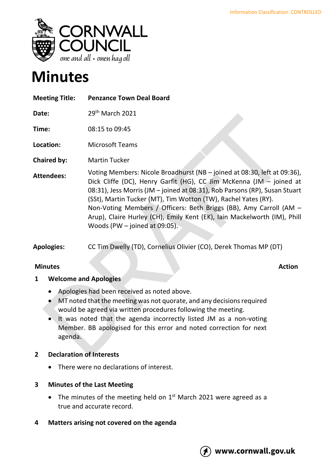

# **Minutes**

| <b>Meeting Title:</b> | <b>Penzance Town Deal Board</b> |
|-----------------------|---------------------------------|
|                       |                                 |

**Date:** 29th March 2021

**Time:** 08:15 to 09:45

**Location:** Microsoft Teams

**Chaired by:** Martin Tucker

**Attendees:** Voting Members: Nicole Broadhurst (NB – joined at 08:30, left at 09:36), Dick Cliffe (DC), Henry Garfit (HG), CC Jim McKenna (JM – joined at 08:31), Jess Morris (JM – joined at 08:31), Rob Parsons (RP), Susan Stuart (SSt), Martin Tucker (MT), Tim Wotton (TW), Rachel Yates (RY). Non-Voting Members / Officers: Beth Briggs (BB), Amy Carroll (AM – Arup), Claire Hurley (CH), Emily Kent (EK), Iain Mackelworth (IM), Phill Woods (PW – joined at 09:05).

**Apologies:** CC Tim Dwelly (TD), Cornelius Olivier (CO), Derek Thomas MP (DT)

# **Minutes Action**

## **1 Welcome and Apologies**

- Apologies had been received as noted above.
- MT noted that the meeting was not quorate, and any decisions required would be agreed via written procedures following the meeting.
- It was noted that the agenda incorrectly listed JM as a non-voting Member. BB apologised for this error and noted correction for next agenda.

## **2 Declaration of Interests**

There were no declarations of interest.

## **3 Minutes of the Last Meeting**

- The minutes of the meeting held on  $1<sup>st</sup>$  March 2021 were agreed as a true and accurate record.
- **4 Matters arising not covered on the agenda**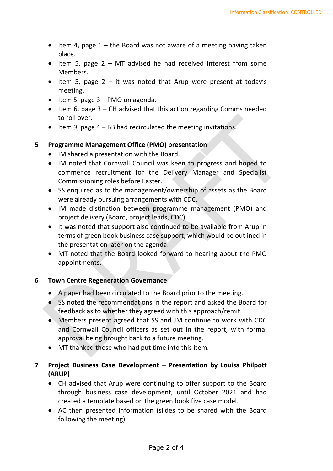- Item 4, page  $1 -$  the Board was not aware of a meeting having taken place.
- Item 5, page 2 MT advised he had received interest from some Members.
- Item 5, page  $2 it$  was noted that Arup were present at today's meeting.
- Item 5, page  $3 PMO$  on agenda.
- Item 6, page 3 CH advised that this action regarding Comms needed to roll over.
- Item 9, page 4 BB had recirculated the meeting invitations.

## **5 Programme Management Office (PMO) presentation**

- IM shared a presentation with the Board.
- IM noted that Cornwall Council was keen to progress and hoped to commence recruitment for the Delivery Manager and Specialist Commissioning roles before Easter.
- SS enquired as to the management/ownership of assets as the Board were already pursuing arrangements with CDC.
- IM made distinction between programme management (PMO) and project delivery (Board, project leads, CDC).
- It was noted that support also continued to be available from Arup in terms of green book business case support, which would be outlined in the presentation later on the agenda.
- MT noted that the Board looked forward to hearing about the PMO appointments.

## **6 Town Centre Regeneration Governance**

- A paper had been circulated to the Board prior to the meeting.
- SS noted the recommendations in the report and asked the Board for feedback as to whether they agreed with this approach/remit.
- Members present agreed that SS and JM continue to work with CDC and Cornwall Council officers as set out in the report, with formal approval being brought back to a future meeting.
- MT thanked those who had put time into this item.

# **7 Project Business Case Development – Presentation by Louisa Philpott (ARUP)**

- CH advised that Arup were continuing to offer support to the Board through business case development, until October 2021 and had created a template based on the green book five case model.
- AC then presented information (slides to be shared with the Board following the meeting).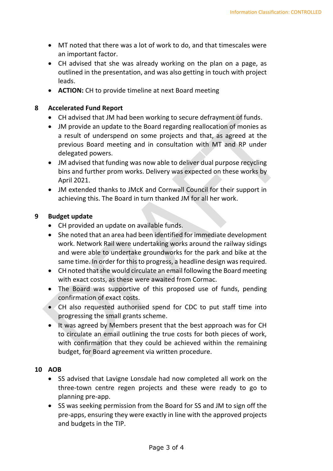- MT noted that there was a lot of work to do, and that timescales were an important factor.
- CH advised that she was already working on the plan on a page, as outlined in the presentation, and was also getting in touch with project leads.
- **ACTION:** CH to provide timeline at next Board meeting

#### **8 Accelerated Fund Report**

- CH advised that JM had been working to secure defrayment of funds.
- JM provide an update to the Board regarding reallocation of monies as a result of underspend on some projects and that, as agreed at the previous Board meeting and in consultation with MT and RP under delegated powers.
- JM advised that funding was now able to deliver dual purpose recycling bins and further prom works. Delivery was expected on these works by April 2021.
- JM extended thanks to JMcK and Cornwall Council for their support in achieving this. The Board in turn thanked JM for all her work.

#### **9 Budget update**

- CH provided an update on available funds.
- She noted that an area had been identified for immediate development work. Network Rail were undertaking works around the railway sidings and were able to undertake groundworks for the park and bike at the same time. In order for this to progress, a headline design was required.
- CH noted that she would circulate an email following the Board meeting with exact costs, as these were awaited from Cormac.
- The Board was supportive of this proposed use of funds, pending confirmation of exact costs.
- CH also requested authorised spend for CDC to put staff time into progressing the small grants scheme.
- It was agreed by Members present that the best approach was for CH to circulate an email outlining the true costs for both pieces of work, with confirmation that they could be achieved within the remaining budget, for Board agreement via written procedure.

## **10 AOB**

- SS advised that Lavigne Lonsdale had now completed all work on the three-town centre regen projects and these were ready to go to planning pre-app.
- SS was seeking permission from the Board for SS and JM to sign off the pre-apps, ensuring they were exactly in line with the approved projects and budgets in the TIP.